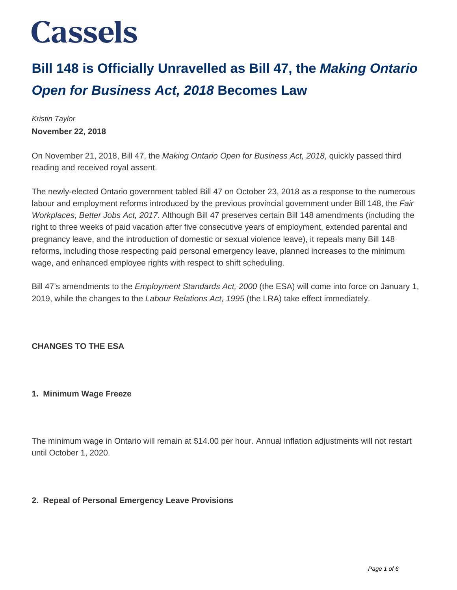# **Bill 148 is Officially Unravelled as Bill 47, the Making Ontario Open for Business Act, 2018 Becomes Law**

Kristin Taylor **November 22, 2018**

On November 21, 2018, Bill 47, the Making Ontario Open for Business Act, 2018, quickly passed third reading and received royal assent.

The newly-elected Ontario government tabled Bill 47 on October 23, 2018 as a response to the numerous labour and employment reforms introduced by the previous provincial government under Bill 148, the Fair Workplaces, Better Jobs Act, 2017. Although Bill 47 preserves certain Bill 148 amendments (including the right to three weeks of paid vacation after five consecutive years of employment, extended parental and pregnancy leave, and the introduction of domestic or sexual violence leave), it repeals many Bill 148 reforms, including those respecting paid personal emergency leave, planned increases to the minimum wage, and enhanced employee rights with respect to shift scheduling.

Bill 47's amendments to the *Employment Standards Act, 2000* (the ESA) will come into force on January 1, 2019, while the changes to the Labour Relations Act, 1995 (the LRA) take effect immediately.

# **CHANGES TO THE ESA**

#### **1. Minimum Wage Freeze**

The minimum wage in Ontario will remain at \$14.00 per hour. Annual inflation adjustments will not restart until October 1, 2020.

### **2. Repeal of Personal Emergency Leave Provisions**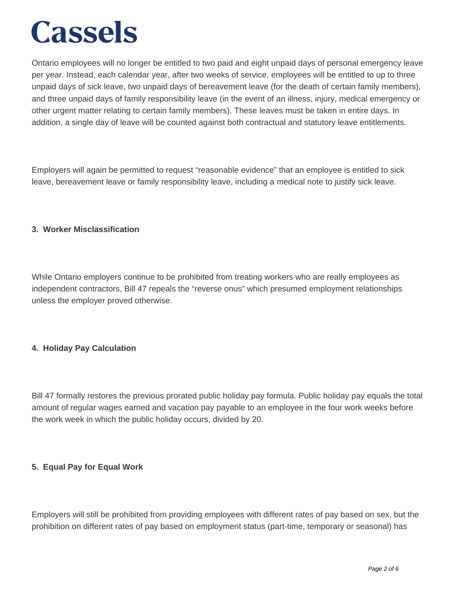Ontario employees will no longer be entitled to two paid and eight unpaid days of personal emergency leave per year. Instead, each calendar year, after two weeks of service, employees will be entitled to up to three unpaid days of sick leave, two unpaid days of bereavement leave (for the death of certain family members), and three unpaid days of family responsibility leave (in the event of an illness, injury, medical emergency or other urgent matter relating to certain family members). These leaves must be taken in entire days. In addition, a single day of leave will be counted against both contractual and statutory leave entitlements.

Employers will again be permitted to request "reasonable evidence" that an employee is entitled to sick leave, bereavement leave or family responsibility leave, including a medical note to justify sick leave.

#### **3. Worker Misclassification**

While Ontario employers continue to be prohibited from treating workers who are really employees as independent contractors, Bill 47 repeals the "reverse onus" which presumed employment relationships unless the employer proved otherwise.

### **4. Holiday Pay Calculation**

Bill 47 formally restores the previous prorated public holiday pay formula. Public holiday pay equals the total amount of regular wages earned and vacation pay payable to an employee in the four work weeks before the work week in which the public holiday occurs, divided by 20.

### **5. Equal Pay for Equal Work**

Employers will still be prohibited from providing employees with different rates of pay based on sex, but the prohibition on different rates of pay based on employment status (part-time, temporary or seasonal) has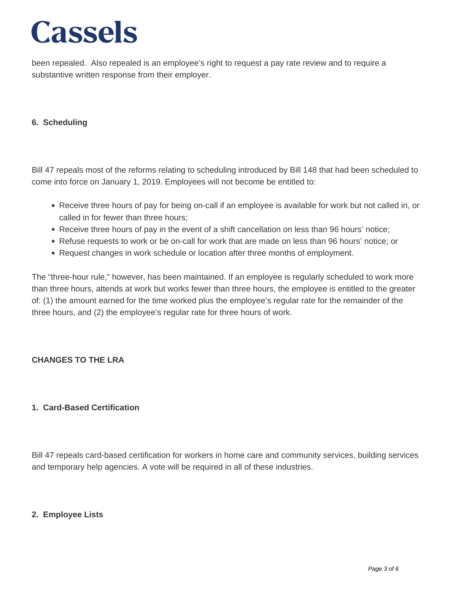been repealed. Also repealed is an employee's right to request a pay rate review and to require a substantive written response from their employer.

### **6. Scheduling**

Bill 47 repeals most of the reforms relating to scheduling introduced by Bill 148 that had been scheduled to come into force on January 1, 2019. Employees will not become be entitled to:

- Receive three hours of pay for being on-call if an employee is available for work but not called in, or called in for fewer than three hours;
- Receive three hours of pay in the event of a shift cancellation on less than 96 hours' notice;
- Refuse requests to work or be on-call for work that are made on less than 96 hours' notice; or
- Request changes in work schedule or location after three months of employment.

The "three-hour rule," however, has been maintained. If an employee is regularly scheduled to work more than three hours, attends at work but works fewer than three hours, the employee is entitled to the greater of: (1) the amount earned for the time worked plus the employee's regular rate for the remainder of the three hours, and (2) the employee's regular rate for three hours of work.

### **CHANGES TO THE LRA**

#### **1. Card-Based Certification**

Bill 47 repeals card-based certification for workers in home care and community services, building services and temporary help agencies. A vote will be required in all of these industries.

#### **2. Employee Lists**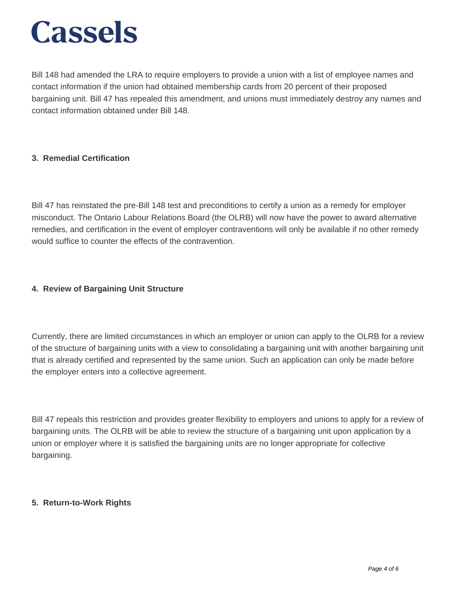Bill 148 had amended the LRA to require employers to provide a union with a list of employee names and contact information if the union had obtained membership cards from 20 percent of their proposed bargaining unit. Bill 47 has repealed this amendment, and unions must immediately destroy any names and contact information obtained under Bill 148.

# **3. Remedial Certification**

Bill 47 has reinstated the pre-Bill 148 test and preconditions to certify a union as a remedy for employer misconduct. The Ontario Labour Relations Board (the OLRB) will now have the power to award alternative remedies, and certification in the event of employer contraventions will only be available if no other remedy would suffice to counter the effects of the contravention.

### **4. Review of Bargaining Unit Structure**

Currently, there are limited circumstances in which an employer or union can apply to the OLRB for a review of the structure of bargaining units with a view to consolidating a bargaining unit with another bargaining unit that is already certified and represented by the same union. Such an application can only be made before the employer enters into a collective agreement.

Bill 47 repeals this restriction and provides greater flexibility to employers and unions to apply for a review of bargaining units. The OLRB will be able to review the structure of a bargaining unit upon application by a union or employer where it is satisfied the bargaining units are no longer appropriate for collective bargaining.

#### **5. Return-to-Work Rights**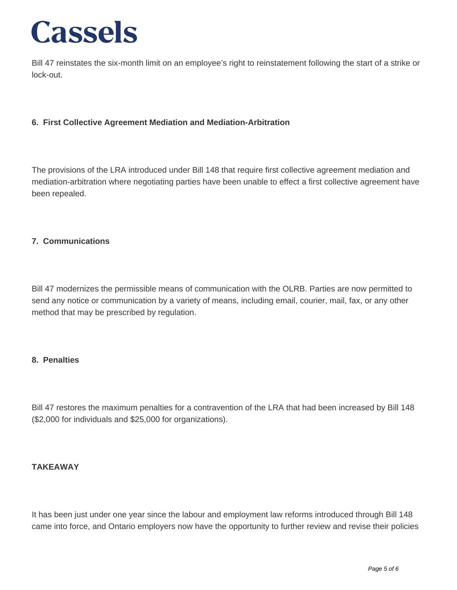Bill 47 reinstates the six-month limit on an employee's right to reinstatement following the start of a strike or lock-out.

## **6. First Collective Agreement Mediation and Mediation-Arbitration**

The provisions of the LRA introduced under Bill 148 that require first collective agreement mediation and mediation-arbitration where negotiating parties have been unable to effect a first collective agreement have been repealed.

#### **7. Communications**

Bill 47 modernizes the permissible means of communication with the OLRB. Parties are now permitted to send any notice or communication by a variety of means, including email, courier, mail, fax, or any other method that may be prescribed by regulation.

#### **8. Penalties**

Bill 47 restores the maximum penalties for a contravention of the LRA that had been increased by Bill 148 (\$2,000 for individuals and \$25,000 for organizations).

#### **TAKEAWAY**

It has been just under one year since the labour and employment law reforms introduced through Bill 148 came into force, and Ontario employers now have the opportunity to further review and revise their policies